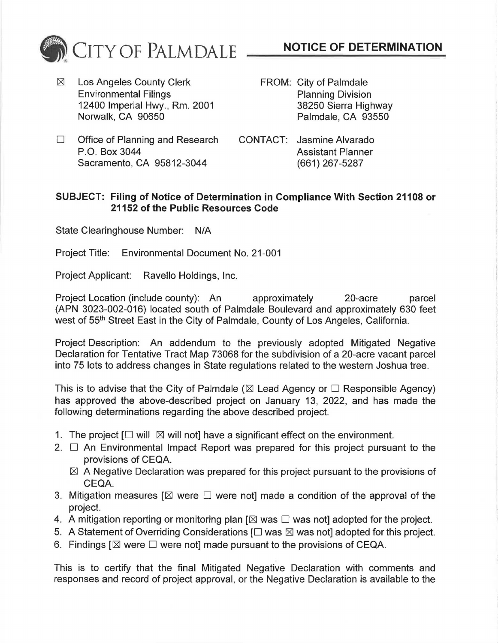

 $✓$  Los Angeles County Clerk Environmental Filings 12400 Imperial Hwy., Rm. 2001 Norwalk, CA 90650

- **NOTICE OF DETERMINATION**
- FROM: City of Palmdale Planning Division 38250 Sierra Highway Palmdale, CA 93550
- $\Box$  Office of Planning and Research P.O. Box 3044 Sacramento, CA 95812-3044
- CONTACT: Jasmine Alvarado Assistant Planner (661) 267 -5287

## **SUBJECT: Filing of Notice of Determination in Compliance With Section 21108 or 21152 of the Public Resources Code**

State Clearinghouse Number: N/A

Project Title: Environmental Document No. 21-001

Project Applicant: Ravello Holdings, Inc.

Project Location (include county): An approximately 20-acre parcel (APN 3023-002-016) located south of Palmdale Boulevard and approximately 630 feet west of 55th Street East in the City of Palmdale, County of Los Angeles, California.

Project Description: An addendum to the previously adopted Mitigated Negative Declaration for Tentative Tract Map 73068 for the subdivision of a 20-acre vacant parcel into 75 lots to address changes in State regulations related to the western Joshua tree.

This is to advise that the City of Palmdale ( $\boxtimes$  Lead Agency or  $\Box$  Responsible Agency) has approved the above-described project on January 13, 2022, and has made the following determinations regarding the above described project.

- 1. The project  $\Box$  will  $\boxtimes$  will not] have a significant effect on the environment.
- 2.  $\Box$  An Environmental Impact Report was prepared for this project pursuant to the provisions of CEQA.
	- $\boxtimes$  A Negative Declaration was prepared for this project pursuant to the provisions of CEQA.
- 3. Mitigation measures  $[\boxtimes]$  were  $\square$  were not] made a condition of the approval of the project.
- 4. A mitigation reporting or monitoring plan  $[\boxtimes$  was  $\square$  was not] adopted for the project.
- 5. A Statement of Overriding Considerations  $[\Box$  was  $\boxtimes$  was not] adopted for this project.
- 6. Findings  $[\boxtimes]$  were  $\square$  were not] made pursuant to the provisions of CEQA.

This is to certify that the final Mitigated Negative Declaration with comments and responses and record of project approval, or the Negative Declaration is available to the